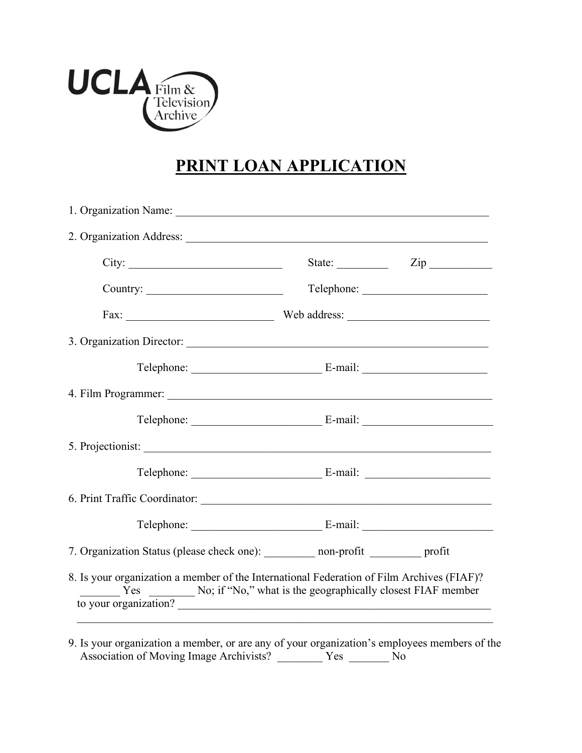

## **PRINT LOAN APPLICATION**

| 2. Organization Address:                                                                                                                                                                                          |                                                        |
|-------------------------------------------------------------------------------------------------------------------------------------------------------------------------------------------------------------------|--------------------------------------------------------|
|                                                                                                                                                                                                                   | State: $\qquad \qquad \qquad \text{Zip} \qquad \qquad$ |
|                                                                                                                                                                                                                   |                                                        |
|                                                                                                                                                                                                                   |                                                        |
| 3. Organization Director:                                                                                                                                                                                         |                                                        |
|                                                                                                                                                                                                                   |                                                        |
|                                                                                                                                                                                                                   |                                                        |
|                                                                                                                                                                                                                   |                                                        |
| 5. Projectionist:                                                                                                                                                                                                 |                                                        |
|                                                                                                                                                                                                                   |                                                        |
|                                                                                                                                                                                                                   |                                                        |
|                                                                                                                                                                                                                   |                                                        |
| 7. Organization Status (please check one): ________ non-profit ________ profit                                                                                                                                    |                                                        |
| 8. Is your organization a member of the International Federation of Film Archives (FIAF)?<br>$\frac{1}{1}$ Yes $\frac{1}{1}$ No; if "No," what is the geographically closest FIAF member<br>to your organization? |                                                        |

9. Is your organization a member, or are any of your organization's employees members of the Association of Moving Image Archivists? The Yes No